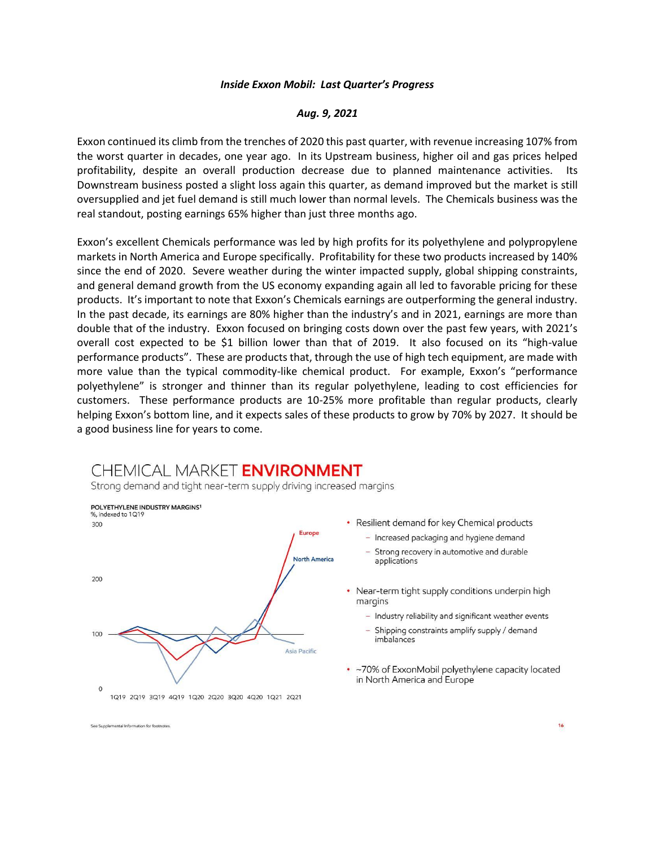## *Inside Exxon Mobil: Last Quarter's Progress*

## *Aug. 9, 2021*

Exxon continued its climb from the trenches of 2020 this past quarter, with revenue increasing 107% from the worst quarter in decades, one year ago. In its Upstream business, higher oil and gas prices helped profitability, despite an overall production decrease due to planned maintenance activities. Its Downstream business posted a slight loss again this quarter, as demand improved but the market is still oversupplied and jet fuel demand is still much lower than normal levels. The Chemicals business was the real standout, posting earnings 65% higher than just three months ago.

Exxon's excellent Chemicals performance was led by high profits for its polyethylene and polypropylene markets in North America and Europe specifically. Profitability for these two products increased by 140% since the end of 2020. Severe weather during the winter impacted supply, global shipping constraints, and general demand growth from the US economy expanding again all led to favorable pricing for these products. It's important to note that Exxon's Chemicals earnings are outperforming the general industry. In the past decade, its earnings are 80% higher than the industry's and in 2021, earnings are more than double that of the industry. Exxon focused on bringing costs down over the past few years, with 2021's overall cost expected to be \$1 billion lower than that of 2019. It also focused on its "high-value performance products". These are products that, through the use of high tech equipment, are made with more value than the typical commodity-like chemical product. For example, Exxon's "performance polyethylene" is stronger and thinner than its regular polyethylene, leading to cost efficiencies for customers. These performance products are 10-25% more profitable than regular products, clearly helping Exxon's bottom line, and it expects sales of these products to grow by 70% by 2027. It should be a good business line for years to come.

## CHEMICAL MARKET ENVIRONMENT

Strong demand and tight near-term supply driving increased margins



See Supplemental Information for footnotes